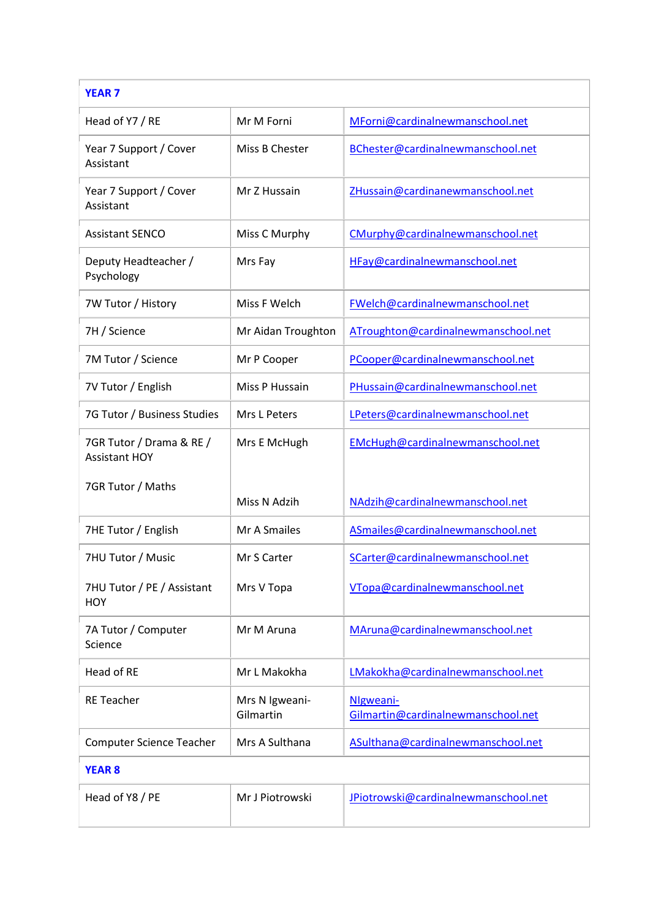| <b>YEAR 7</b>                                    |                             |                                                 |
|--------------------------------------------------|-----------------------------|-------------------------------------------------|
| Head of Y7 / RE                                  | Mr M Forni                  | MForni@cardinalnewmanschool.net                 |
| Year 7 Support / Cover<br>Assistant              | Miss B Chester              | BChester@cardinalnewmanschool.net               |
| Year 7 Support / Cover<br>Assistant              | Mr Z Hussain                | ZHussain@cardinanewmanschool.net                |
| <b>Assistant SENCO</b>                           | Miss C Murphy               | CMurphy@cardinalnewmanschool.net                |
| Deputy Headteacher /<br>Psychology               | Mrs Fay                     | HFay@cardinalnewmanschool.net                   |
| 7W Tutor / History                               | Miss F Welch                | FWelch@cardinalnewmanschool.net                 |
| 7H / Science                                     | Mr Aidan Troughton          | ATroughton@cardinalnewmanschool.net             |
| 7M Tutor / Science                               | Mr P Cooper                 | PCooper@cardinalnewmanschool.net                |
| 7V Tutor / English                               | Miss P Hussain              | PHussain@cardinalnewmanschool.net               |
| 7G Tutor / Business Studies                      | Mrs L Peters                | LPeters@cardinalnewmanschool.net                |
| 7GR Tutor / Drama & RE /<br><b>Assistant HOY</b> | Mrs E McHugh                | EMcHugh@cardinalnewmanschool.net                |
| 7GR Tutor / Maths                                | Miss N Adzih                | NAdzih@cardinalnewmanschool.net                 |
| 7HE Tutor / English                              | Mr A Smailes                | ASmailes@cardinalnewmanschool.net               |
| 7HU Tutor / Music                                | Mr S Carter                 | SCarter@cardinalnewmanschool.net                |
| 7HU Tutor / PE / Assistant<br><b>HOY</b>         | Mrs V Topa                  | VTopa@cardinalnewmanschool.net                  |
| 7A Tutor / Computer<br>Science                   | Mr M Aruna                  | MAruna@cardinalnewmanschool.net                 |
| Head of RE                                       | Mr L Makokha                | LMakokha@cardinalnewmanschool.net               |
| <b>RE Teacher</b>                                | Mrs N Igweani-<br>Gilmartin | Nlgweani-<br>Gilmartin@cardinalnewmanschool.net |
| <b>Computer Science Teacher</b>                  | Mrs A Sulthana              | ASulthana@cardinalnewmanschool.net              |
| <b>YEAR 8</b>                                    |                             |                                                 |
| Head of Y8 / PE                                  | Mr J Piotrowski             | JPiotrowski@cardinalnewmanschool.net            |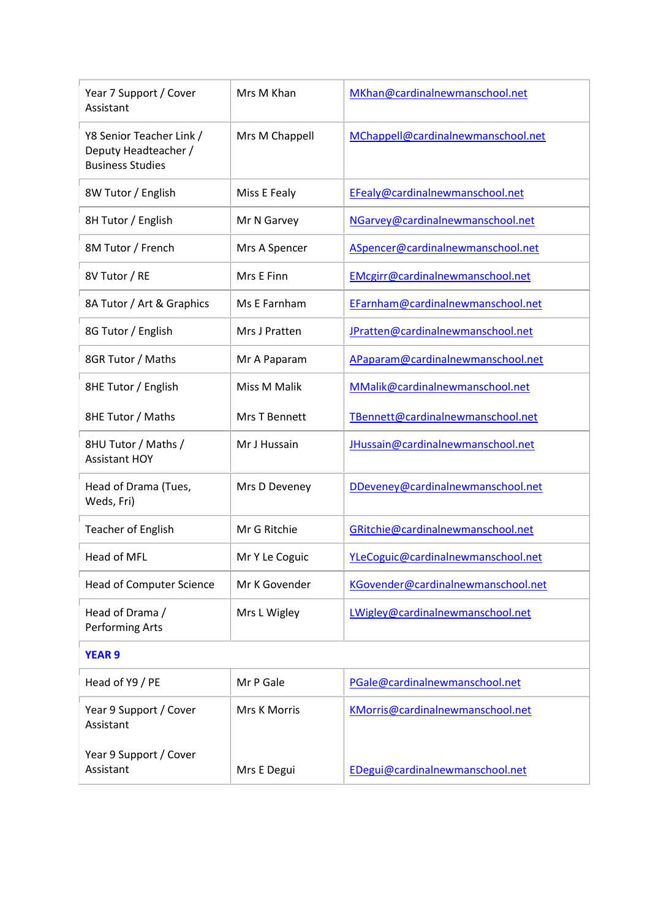| Year 7 Support / Cover<br>Assistant                                         | Mrs M Khan     | MKhan@cardinalnewmanschool.net     |
|-----------------------------------------------------------------------------|----------------|------------------------------------|
| Y8 Senior Teacher Link /<br>Deputy Headteacher /<br><b>Business Studies</b> | Mrs M Chappell | MChappell@cardinalnewmanschool.net |
| 8W Tutor / English                                                          | Miss E Fealy   | EFealy@cardinalnewmanschool.net    |
| 8H Tutor / English                                                          | Mr N Garvey    | NGarvey@cardinalnewmanschool.net   |
| 8M Tutor / French                                                           | Mrs A Spencer  | ASpencer@cardinalnewmanschool.net  |
| 8V Tutor / RE                                                               | Mrs E Finn     | EMcgirr@cardinalnewmanschool.net   |
| 8A Tutor / Art & Graphics                                                   | Ms E Farnham   | EFarnham@cardinalnewmanschool.net  |
| 8G Tutor / English                                                          | Mrs J Pratten  | JPratten@cardinalnewmanschool.net  |
| 8GR Tutor / Maths                                                           | Mr A Paparam   | APaparam@cardinalnewmanschool.net  |
| 8HE Tutor / English                                                         | Miss M Malik   | MMalik@cardinalnewmanschool.net    |
| 8HE Tutor / Maths                                                           | Mrs T Bennett  | TBennett@cardinalnewmanschool.net  |
| 8HU Tutor / Maths /<br><b>Assistant HOY</b>                                 | Mr J Hussain   | JHussain@cardinalnewmanschool.net  |
| Head of Drama (Tues,<br>Weds, Fri)                                          | Mrs D Deveney  | DDeveney@cardinalnewmanschool.net  |
| <b>Teacher of English</b>                                                   | Mr G Ritchie   | GRitchie@cardinalnewmanschool.net  |
| <b>Head of MFL</b>                                                          | Mr Y Le Coguic | YLeCoguic@cardinalnewmanschool.net |
| <b>Head of Computer Science</b>                                             | Mr K Govender  | KGovender@cardinalnewmanschool.net |
| Head of Drama /<br><b>Performing Arts</b>                                   | Mrs L Wigley   | LWigley@cardinalnewmanschool.net   |
| <b>YEAR 9</b>                                                               |                |                                    |
| Head of Y9 / PE                                                             | Mr P Gale      | PGale@cardinalnewmanschool.net     |
| Year 9 Support / Cover<br>Assistant                                         | Mrs K Morris   | KMorris@cardinalnewmanschool.net   |
| Year 9 Support / Cover<br>Assistant                                         | Mrs E Degui    | EDegui@cardinalnewmanschool.net    |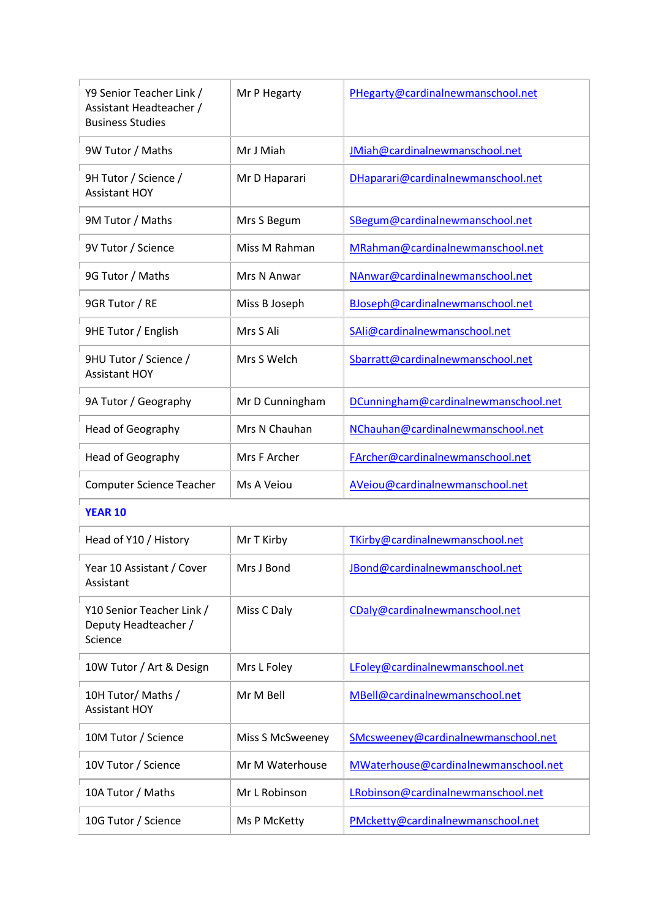| Y9 Senior Teacher Link /<br>Assistant Headteacher /<br><b>Business Studies</b> | Mr P Hegarty     | PHegarty@cardinalnewmanschool.net    |
|--------------------------------------------------------------------------------|------------------|--------------------------------------|
| 9W Tutor / Maths                                                               | Mr J Miah        | JMiah@cardinalnewmanschool.net       |
| 9H Tutor / Science /<br><b>Assistant HOY</b>                                   | Mr D Haparari    | DHaparari@cardinalnewmanschool.net   |
| 9M Tutor / Maths                                                               | Mrs S Begum      | SBegum@cardinalnewmanschool.net      |
| 9V Tutor / Science                                                             | Miss M Rahman    | MRahman@cardinalnewmanschool.net     |
| 9G Tutor / Maths                                                               | Mrs N Anwar      | NAnwar@cardinalnewmanschool.net      |
| 9GR Tutor / RE                                                                 | Miss B Joseph    | BJoseph@cardinalnewmanschool.net     |
| 9HE Tutor / English                                                            | Mrs S Ali        | SAli@cardinalnewmanschool.net        |
| 9HU Tutor / Science /<br><b>Assistant HOY</b>                                  | Mrs S Welch      | Sbarratt@cardinalnewmanschool.net    |
| 9A Tutor / Geography                                                           | Mr D Cunningham  | DCunningham@cardinalnewmanschool.net |
| Head of Geography                                                              | Mrs N Chauhan    | NChauhan@cardinalnewmanschool.net    |
| Head of Geography                                                              | Mrs F Archer     | FArcher@cardinalnewmanschool.net     |
| <b>Computer Science Teacher</b>                                                | Ms A Veiou       | AVeiou@cardinalnewmanschool.net      |
| <b>YEAR 10</b>                                                                 |                  |                                      |
| Head of Y10 / History                                                          | Mr T Kirby       | TKirby@cardinalnewmanschool.net      |
| Year 10 Assistant / Cover<br>Assistant                                         | Mrs J Bond       | JBond@cardinalnewmanschool.net       |
| Y10 Senior Teacher Link /<br>Deputy Headteacher /<br>Science                   | Miss C Daly      | CDaly@cardinalnewmanschool.net       |
| 10W Tutor / Art & Design                                                       | Mrs L Foley      | LFoley@cardinalnewmanschool.net      |
| 10H Tutor/Maths/<br><b>Assistant HOY</b>                                       | Mr M Bell        | MBell@cardinalnewmanschool.net       |
| 10M Tutor / Science                                                            | Miss S McSweeney | SMcsweeney@cardinalnewmanschool.net  |
| 10V Tutor / Science                                                            | Mr M Waterhouse  | MWaterhouse@cardinalnewmanschool.net |
| 10A Tutor / Maths                                                              | Mr L Robinson    | LRobinson@cardinalnewmanschool.net   |
| 10G Tutor / Science                                                            | Ms P McKetty     | PMcketty@cardinalnewmanschool.net    |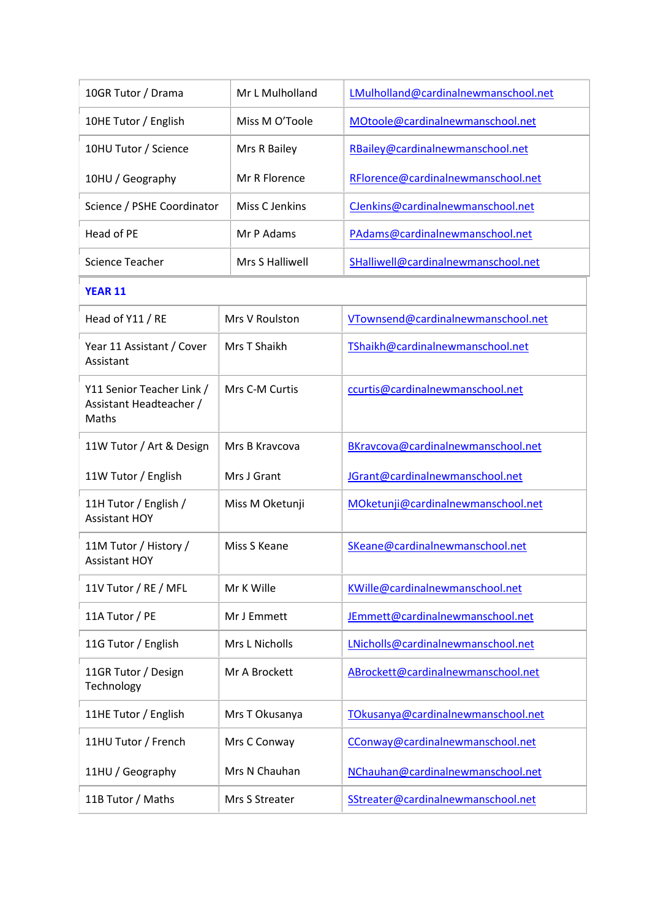| 10GR Tutor / Drama                                            | Mr L Mulholland | LMulholland@cardinalnewmanschool.net |
|---------------------------------------------------------------|-----------------|--------------------------------------|
| 10HE Tutor / English                                          | Miss M O'Toole  | MOtoole@cardinalnewmanschool.net     |
| 10HU Tutor / Science                                          | Mrs R Bailey    | RBailey@cardinalnewmanschool.net     |
| 10HU / Geography                                              | Mr R Florence   | RFlorence@cardinalnewmanschool.net   |
| Science / PSHE Coordinator                                    | Miss C Jenkins  | CJenkins@cardinalnewmanschool.net    |
| Head of PE                                                    | Mr P Adams      | PAdams@cardinalnewmanschool.net      |
| <b>Science Teacher</b>                                        | Mrs S Halliwell | SHalliwell@cardinalnewmanschool.net  |
| <b>YEAR 11</b>                                                |                 |                                      |
| Head of Y11 / RE                                              | Mrs V Roulston  | VTownsend@cardinalnewmanschool.net   |
| Year 11 Assistant / Cover<br>Assistant                        | Mrs T Shaikh    | TShaikh@cardinalnewmanschool.net     |
| Y11 Senior Teacher Link /<br>Assistant Headteacher /<br>Maths | Mrs C-M Curtis  | ccurtis@cardinalnewmanschool.net     |
| 11W Tutor / Art & Design                                      | Mrs B Kravcova  | BKravcova@cardinalnewmanschool.net   |
| 11W Tutor / English                                           | Mrs J Grant     | JGrant@cardinalnewmanschool.net      |
| 11H Tutor / English /<br><b>Assistant HOY</b>                 | Miss M Oketunji | MOketunji@cardinalnewmanschool.net   |
| 11M Tutor / History /<br><b>Assistant HOY</b>                 | Miss S Keane    | SKeane@cardinalnewmanschool.net      |
| 11V Tutor / RE / MFL                                          | Mr K Wille      | KWille@cardinalnewmanschool.net      |
| 11A Tutor / PE                                                | Mr J Emmett     | JEmmett@cardinalnewmanschool.net     |
| 11G Tutor / English                                           | Mrs L Nicholls  | LNicholls@cardinalnewmanschool.net   |
| 11GR Tutor / Design<br>Technology                             | Mr A Brockett   | ABrockett@cardinalnewmanschool.net   |
| 11HE Tutor / English                                          | Mrs T Okusanya  | TOkusanya@cardinalnewmanschool.net   |
| 11HU Tutor / French                                           | Mrs C Conway    | CConway@cardinalnewmanschool.net     |
| 11HU / Geography                                              | Mrs N Chauhan   | NChauhan@cardinalnewmanschool.net    |
| 11B Tutor / Maths                                             | Mrs S Streater  | SStreater@cardinalnewmanschool.net   |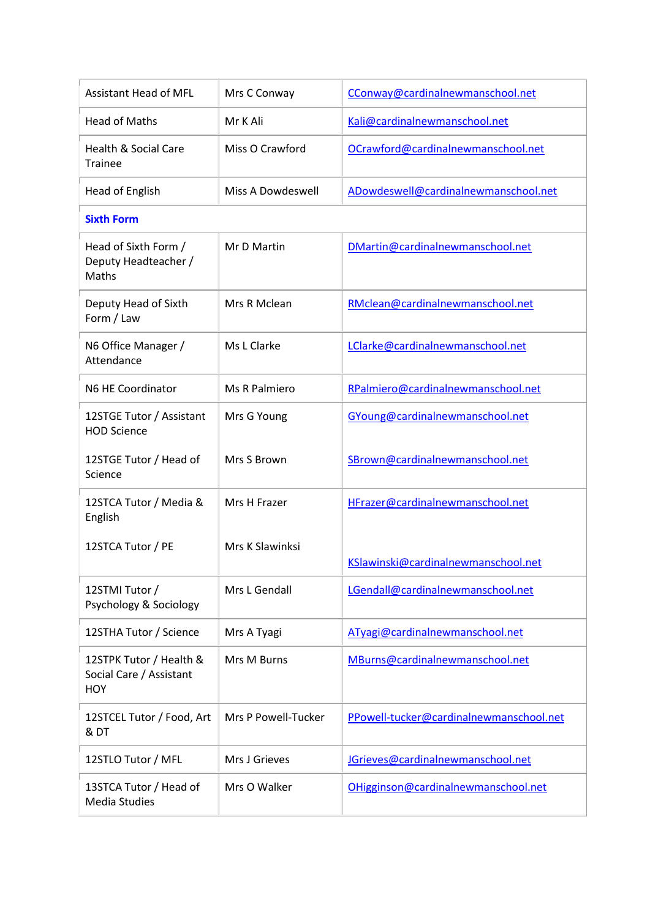| <b>Assistant Head of MFL</b>                                     | Mrs C Conway        | CConway@cardinalnewmanschool.net        |
|------------------------------------------------------------------|---------------------|-----------------------------------------|
| <b>Head of Maths</b>                                             | Mr K Ali            | Kali@cardinalnewmanschool.net           |
| <b>Health &amp; Social Care</b><br><b>Trainee</b>                | Miss O Crawford     | OCrawford@cardinalnewmanschool.net      |
| Head of English                                                  | Miss A Dowdeswell   | ADowdeswell@cardinalnewmanschool.net    |
| <b>Sixth Form</b>                                                |                     |                                         |
| Head of Sixth Form /<br>Deputy Headteacher /<br>Maths            | Mr D Martin         | DMartin@cardinalnewmanschool.net        |
| Deputy Head of Sixth<br>Form / Law                               | Mrs R Mclean        | RMclean@cardinalnewmanschool.net        |
| N6 Office Manager /<br>Attendance                                | Ms L Clarke         | LClarke@cardinalnewmanschool.net        |
| N6 HE Coordinator                                                | Ms R Palmiero       | RPalmiero@cardinalnewmanschool.net      |
| 12STGE Tutor / Assistant<br><b>HOD Science</b>                   | Mrs G Young         | GYoung@cardinalnewmanschool.net         |
| 12STGE Tutor / Head of<br>Science                                | Mrs S Brown         | SBrown@cardinalnewmanschool.net         |
| 12STCA Tutor / Media &<br>English                                | Mrs H Frazer        | HFrazer@cardinalnewmanschool.net        |
| 12STCA Tutor / PE                                                | Mrs K Slawinksi     | KSlawinski@cardinalnewmanschool.net     |
| 12STMI Tutor /<br>Psychology & Sociology                         | Mrs L Gendall       | LGendall@cardinalnewmanschool.net       |
| 12STHA Tutor / Science                                           | Mrs A Tyagi         | ATyagi@cardinalnewmanschool.net         |
| 12STPK Tutor / Health &<br>Social Care / Assistant<br><b>HOY</b> | Mrs M Burns         | MBurns@cardinalnewmanschool.net         |
| 12STCEL Tutor / Food, Art<br>& DT                                | Mrs P Powell-Tucker | PPowell-tucker@cardinalnewmanschool.net |
| 12STLO Tutor / MFL                                               | Mrs J Grieves       | JGrieves@cardinalnewmanschool.net       |
| 13STCA Tutor / Head of<br><b>Media Studies</b>                   | Mrs O Walker        | OHigginson@cardinalnewmanschool.net     |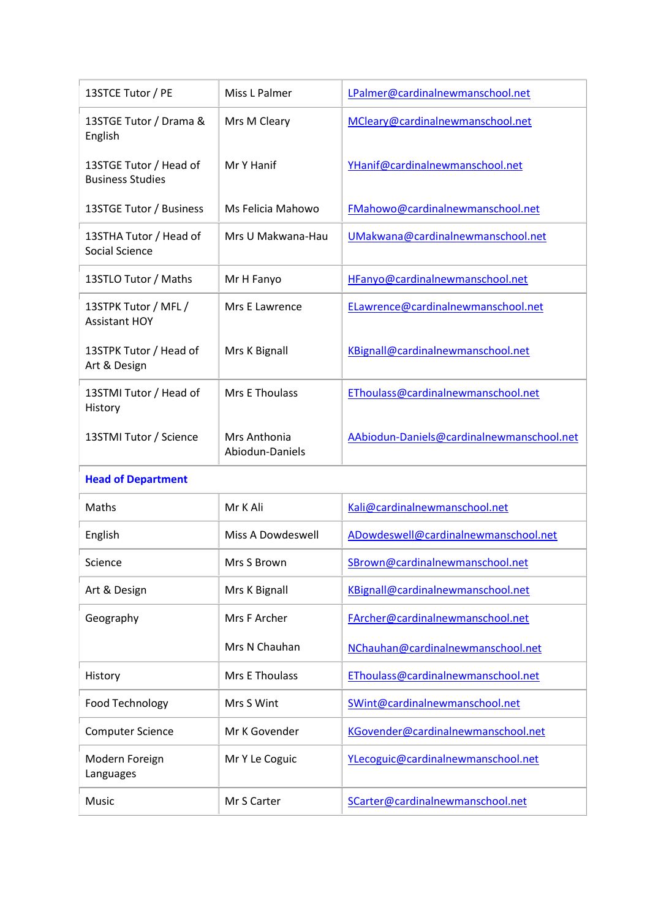| 13STCE Tutor / PE                                 | Miss L Palmer                   | LPalmer@cardinalnewmanschool.net          |
|---------------------------------------------------|---------------------------------|-------------------------------------------|
| 13STGE Tutor / Drama &<br>English                 | Mrs M Cleary                    | MCleary@cardinalnewmanschool.net          |
| 13STGE Tutor / Head of<br><b>Business Studies</b> | Mr Y Hanif                      | YHanif@cardinalnewmanschool.net           |
| 13STGE Tutor / Business                           | Ms Felicia Mahowo               | FMahowo@cardinalnewmanschool.net          |
| 13STHA Tutor / Head of<br>Social Science          | Mrs U Makwana-Hau               | UMakwana@cardinalnewmanschool.net         |
| 13STLO Tutor / Maths                              | Mr H Fanyo                      | HFanyo@cardinalnewmanschool.net           |
| 13STPK Tutor / MFL /<br><b>Assistant HOY</b>      | Mrs E Lawrence                  | ELawrence@cardinalnewmanschool.net        |
| 13STPK Tutor / Head of<br>Art & Design            | Mrs K Bignall                   | KBignall@cardinalnewmanschool.net         |
| 13STMI Tutor / Head of<br>History                 | Mrs E Thoulass                  | EThoulass@cardinalnewmanschool.net        |
| 13STMI Tutor / Science                            | Mrs Anthonia<br>Abiodun-Daniels | AAbiodun-Daniels@cardinalnewmanschool.net |
| <b>Head of Department</b>                         |                                 |                                           |
| Maths                                             | Mr K Ali                        | Kali@cardinalnewmanschool.net             |
| English                                           | Miss A Dowdeswell               | ADowdeswell@cardinalnewmanschool.net      |
| Science                                           | Mrs S Brown                     | SBrown@cardinalnewmanschool.net           |
| Art & Design                                      | Mrs K Bignall                   | KBignall@cardinalnewmanschool.net         |
| Geography                                         | Mrs F Archer                    | FArcher@cardinalnewmanschool.net          |
|                                                   | Mrs N Chauhan                   | NChauhan@cardinalnewmanschool.net         |
| History                                           | Mrs E Thoulass                  | EThoulass@cardinalnewmanschool.net        |
| Food Technology                                   | Mrs S Wint                      | SWint@cardinalnewmanschool.net            |
| <b>Computer Science</b>                           | Mr K Govender                   | KGovender@cardinalnewmanschool.net        |
| Modern Foreign<br>Languages                       | Mr Y Le Coguic                  | YLecoguic@cardinalnewmanschool.net        |
| Music                                             | Mr S Carter                     | SCarter@cardinalnewmanschool.net          |